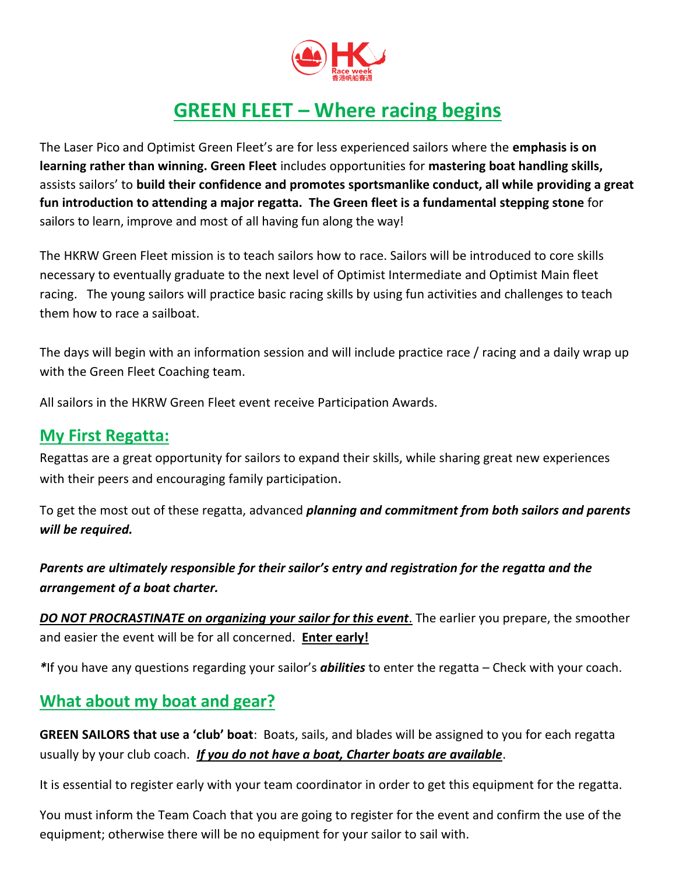

# **GREEN FLEET – Where racing begins**

The Laser Pico and Optimist Green Fleet's are for less experienced sailors where the **emphasis is on learning rather than winning. Green Fleet** includes opportunities for **mastering boat handling skills,**  assists sailors' to **build their confidence and promotes sportsmanlike conduct, all while providing a great fun introduction to attending a major regatta. The Green fleet is a fundamental stepping stone** for sailors to learn, improve and most of all having fun along the way!

The HKRW Green Fleet mission is to teach sailors how to race. Sailors will be introduced to core skills necessary to eventually graduate to the next level of Optimist Intermediate and Optimist Main fleet racing. The young sailors will practice basic racing skills by using fun activities and challenges to teach them how to race a sailboat.

The days will begin with an information session and will include practice race / racing and a daily wrap up with the Green Fleet Coaching team.

All sailors in the HKRW Green Fleet event receive Participation Awards.

#### **My First Regatta:**

Regattas are a great opportunity for sailors to expand their skills, while sharing great new experiences with their peers and encouraging family participation.

To get the most out of these regatta, advanced *planning and commitment from both sailors and parents will be required.*

*Parents are ultimately responsible for their sailor's entry and registration for the regatta and the arrangement of a boat charter.* 

*DO NOT PROCRASTINATE on organizing your sailor for this event*. The earlier you prepare, the smoother and easier the event will be for all concerned. **Enter early!**

*\**If you have any questions regarding your sailor's *abilities* to enter the regatta – Check with your coach.

### **What about my boat and gear?**

**GREEN SAILORS that use a 'club' boat**: Boats, sails, and blades will be assigned to you for each regatta usually by your club coach. *If you do not have a boat, Charter boats are available*.

It is essential to register early with your team coordinator in order to get this equipment for the regatta.

You must inform the Team Coach that you are going to register for the event and confirm the use of the equipment; otherwise there will be no equipment for your sailor to sail with.